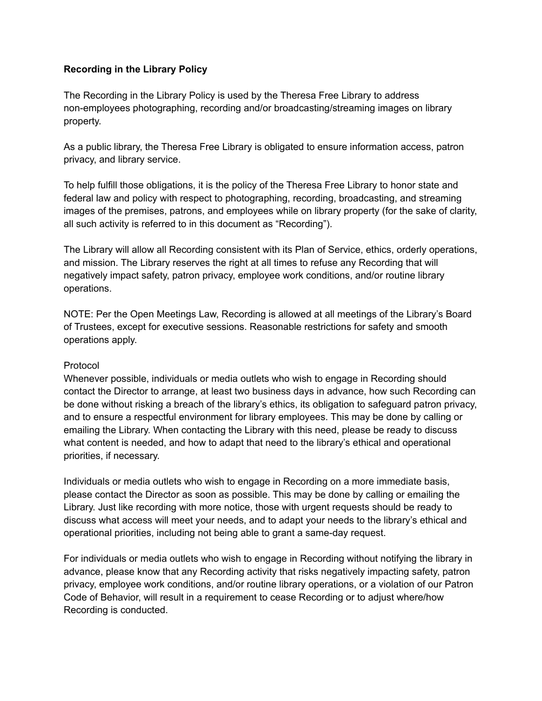## **Recording in the Library Policy**

The Recording in the Library Policy is used by the Theresa Free Library to address non-employees photographing, recording and/or broadcasting/streaming images on library property.

As a public library, the Theresa Free Library is obligated to ensure information access, patron privacy, and library service.

To help fulfill those obligations, it is the policy of the Theresa Free Library to honor state and federal law and policy with respect to photographing, recording, broadcasting, and streaming images of the premises, patrons, and employees while on library property (for the sake of clarity, all such activity is referred to in this document as "Recording").

The Library will allow all Recording consistent with its Plan of Service, ethics, orderly operations, and mission. The Library reserves the right at all times to refuse any Recording that will negatively impact safety, patron privacy, employee work conditions, and/or routine library operations.

NOTE: Per the Open Meetings Law, Recording is allowed at all meetings of the Library's Board of Trustees, except for executive sessions. Reasonable restrictions for safety and smooth operations apply.

## Protocol

Whenever possible, individuals or media outlets who wish to engage in Recording should contact the Director to arrange, at least two business days in advance, how such Recording can be done without risking a breach of the library's ethics, its obligation to safeguard patron privacy, and to ensure a respectful environment for library employees. This may be done by calling or emailing the Library. When contacting the Library with this need, please be ready to discuss what content is needed, and how to adapt that need to the library's ethical and operational priorities, if necessary.

Individuals or media outlets who wish to engage in Recording on a more immediate basis, please contact the Director as soon as possible. This may be done by calling or emailing the Library. Just like recording with more notice, those with urgent requests should be ready to discuss what access will meet your needs, and to adapt your needs to the library's ethical and operational priorities, including not being able to grant a same-day request.

For individuals or media outlets who wish to engage in Recording without notifying the library in advance, please know that any Recording activity that risks negatively impacting safety, patron privacy, employee work conditions, and/or routine library operations, or a violation of our Patron Code of Behavior, will result in a requirement to cease Recording or to adjust where/how Recording is conducted.